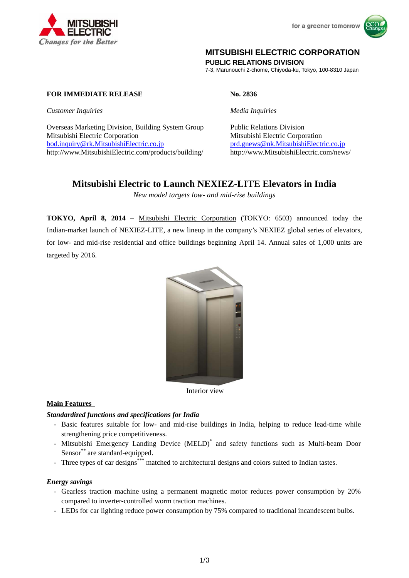



# **MITSUBISHI ELECTRIC CORPORATION**

**PUBLIC RELATIONS DIVISION** 

7-3, Marunouchi 2-chome, Chiyoda-ku, Tokyo, 100-8310 Japan

**FOR IMMEDIATE RELEASE No. 2836** 

*Customer Inquiries Media Inquiries*

Overseas Marketing Division, Building System Group Public Relations Division Mitsubishi Electric Corporation Mitsubishi Electric Corporation bod.inquiry@rk.MitsubishiElectric.co.jp prd.gnews@nk.MitsubishiElectric.co.jp http://www.MitsubishiElectric.com/products/building/ http://www.MitsubishiElectric.com/news/

# **Mitsubishi Electric to Launch NEXIEZ-LITE Elevators in India**

*New model targets low- and mid-rise buildings* 

**TOKYO, April 8, 2014** – Mitsubishi Electric Corporation (TOKYO: 6503) announced today the Indian-market launch of NEXIEZ-LITE, a new lineup in the company's NEXIEZ global series of elevators, for low- and mid-rise residential and office buildings beginning April 14. Annual sales of 1,000 units are targeted by 2016.



Interior view

## **Main Features**

### *Standardized functions and specifications for India*

- Basic features suitable for low- and mid-rise buildings in India, helping to reduce lead-time while strengthening price competitiveness.
- Mitsubishi Emergency Landing Device (MELD)<sup>\*</sup> and safety functions such as Multi-beam Door Sensor<sup>\*\*</sup> are standard-equipped.
- Three types of car designs\*\*\* matched to architectural designs and colors suited to Indian tastes.

### *Energy savings*

- Gearless traction machine using a permanent magnetic motor reduces power consumption by 20% compared to inverter-controlled worm traction machines.
- LEDs for car lighting reduce power consumption by 75% compared to traditional incandescent bulbs.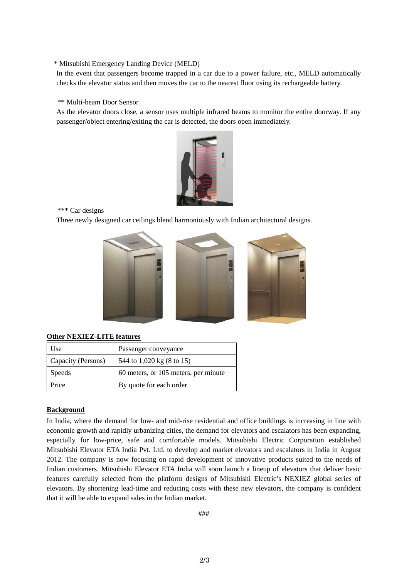#### \* Mitsubishi Emergency Landing Device (MELD)

In the event that passengers become trapped in a car due to a power failure, etc., MELD automatically checks the elevator status and then moves the car to the nearest floor using its rechargeable battery.

#### \*\* Multi-beam Door Sensor

As the elevator doors close, a sensor uses multiple infrared beams to monitor the entire doorway. If any passenger/object entering/exiting the car is detected, the doors open immediately.



\*\*\* Car designs

Three newly designed car ceilings blend harmoniously with Indian architectural designs.



#### **Other NEXIEZ-LITE features**

| Use                | Passenger conveyance                 |
|--------------------|--------------------------------------|
| Capacity (Persons) | 544 to 1,020 kg (8 to 15)            |
| <b>Speeds</b>      | 60 meters, or 105 meters, per minute |
| Price              | By quote for each order              |

### **Background**

In India, where the demand for low- and mid-rise residential and office buildings is increasing in line with economic growth and rapidly urbanizing cities, the demand for elevators and escalators has been expanding, especially for low-price, safe and comfortable models. Mitsubishi Electric Corporation established Mitsubishi Elevator ETA India Pvt. Ltd. to develop and market elevators and escalators in India in August 2012. The company is now focusing on rapid development of innovative products suited to the needs of Indian customers. Mitsubishi Elevator ETA India will soon launch a lineup of elevators that deliver basic features carefully selected from the platform designs of Mitsubishi Electric's NEXIEZ global series of elevators. By shortening lead-time and reducing costs with these new elevators, the company is confident that it will be able to expand sales in the Indian market.